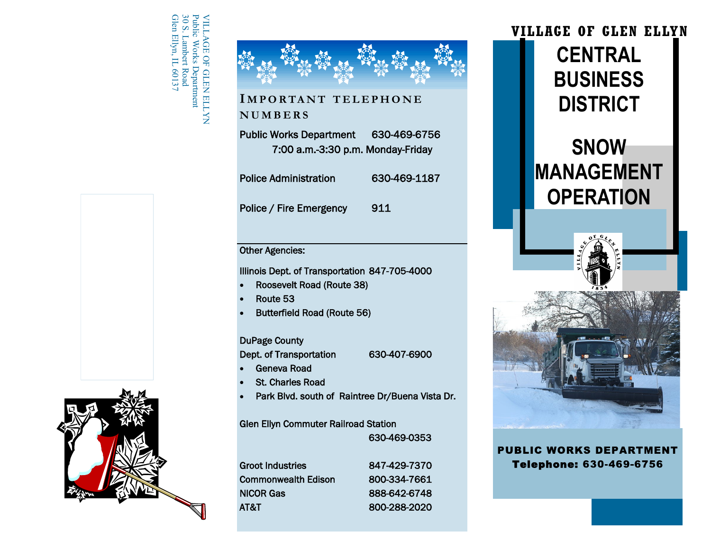Glen Ellyn, IL 60137 30 S. Lambert Road Public Works Department VILLAGE OF GLEN ELLYNPublic Works Department<br>30 S. Lambert Road MILLAGE OF GLEN ELLYN Ellyn, IL 6013.





## **I M P O R TA N T T E L E P H O N E N U M B E R S**

Public Works Department 630-469-6756 7:00 a.m.-3:30 p.m. Monday-Friday

Police Administration 630-469-1187 Police / Fire Emergency 911

## Other Agencies:

Illinois Dept. of Transportation 847-705-4000

Roosevelt Road (Route 38)

Route 53

Butterfield Road (Route 56)

### DuPage County

Dept. of Transportation 630-407-6900

- Geneva Road
- St. Charles Road
- Park Blvd. south of Raintree Dr/Buena Vista Dr.

Glen Ellyn Commuter Railroad Station 630-469-0353

Groot Industries 847-429-7370 Commonwealth Edison 800-334-7661 NICOR Gas 888-642-6748 AT&T 800-288-2020



**PUBLIC WORKS DEPARTMENT** Telephone: